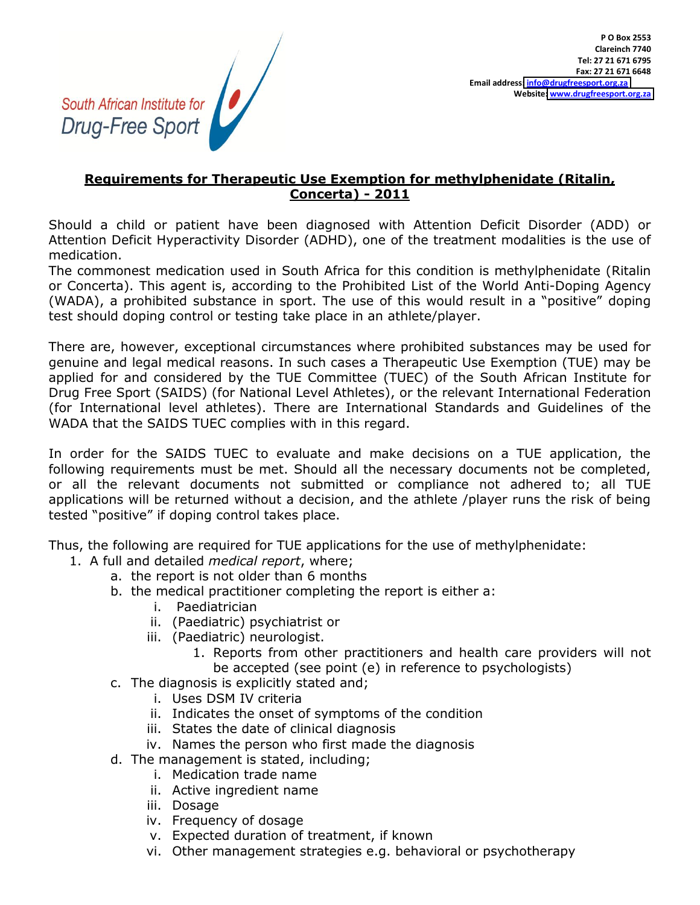South African Institute for Drug-Free Sport

## Requirements for Therapeutic Use Exemption for methylphenidate (Ritalin, **Concerta) - 2011**

Should a child or patient have been diagnosed with Attention Deficit Disorder (ADD) or Attention Deficit Hyperactivity Disorder (ADHD), one of the treatment modalities is the use of medication.

The commonest medication used in South Africa for this condition is methylphenidate (Ritalin or Concerta). This agent is, according to the Prohibited List of the World Anti-Doping Agency (WADA), a prohibited substance in sport. The use of this would result in a "positive" doping test should doping control or testing take place in an athlete/player.

There are, however, exceptional circumstances where prohibited substances may be used for genuine and legal medical reasons. In such cases a Therapeutic Use Exemption (TUE) may be applied for and considered by the TUE Committee (TUEC) of the South African Institute for Drug Free Sport (SAIDS) (for National Level Athletes), or the relevant International Federation (for International level athletes). There are International Standards and Guidelines of the WADA that the SAIDS TUEC complies with in this regard.

In order for the SAIDS TUEC to evaluate and make decisions on a TUE application, the following requirements must be met. Should all the necessary documents not be completed, or all the relevant documents not submitted or compliance not adhered to; all TUE applications will be returned without a decision, and the athlete /player runs the risk of being tested "positive" if doping control takes place.

Thus, the following are required for TUE applications for the use of methylphenidate:

- 1. A full and detailed *medical report*, where;
	- a. the report is not older than 6 months
	- b. the medical practitioner completing the report is either a:
		- i. Paediatrician
		- ii. (Paediatric) psychiatrist or
		- iii. (Paediatric) neurologist.
			- 1. Reports from other practitioners and health care providers will not be accepted (see point (e) in reference to psychologists)
	- c. The diagnosis is explicitly stated and;
		- i. Uses DSM IV criteria
		- ii. Indicates the onset of symptoms of the condition
		- iii. States the date of clinical diagnosis
		- iv. Names the person who first made the diagnosis
	- d. The management is stated, including;
		- i. Medication trade name
		- ii. Active ingredient name
		- iii. Dosage
		- iv. Frequency of dosage
		- v. Expected duration of treatment, if known
		- vi. Other management strategies e.g. behavioral or psychotherapy